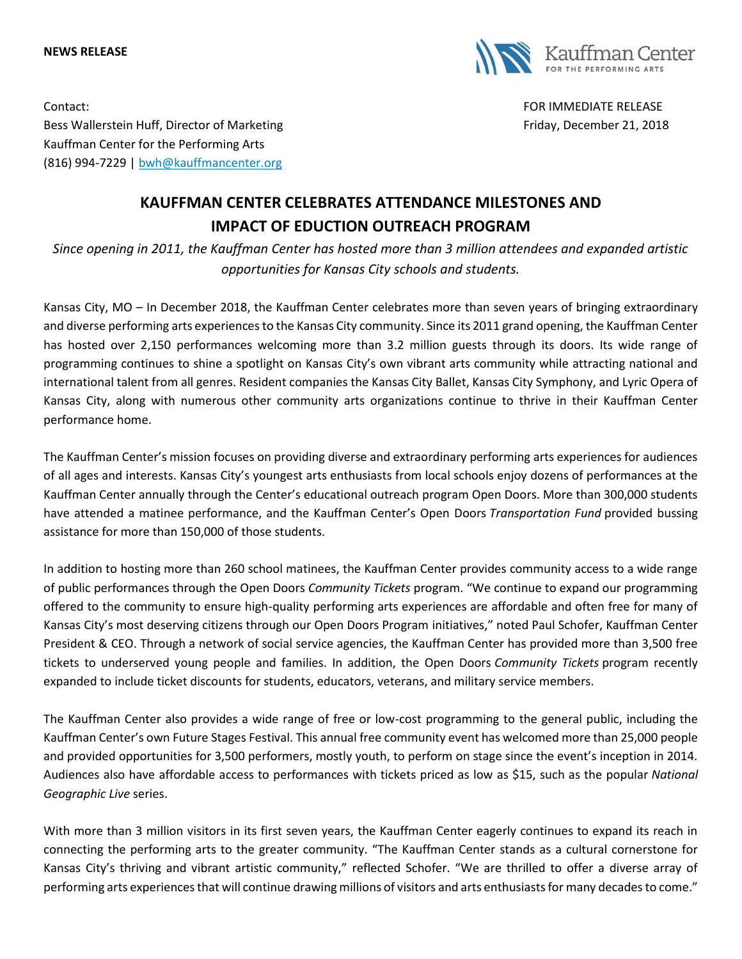#### **NEWS RELEASE**



Contact: FOR IMMEDIATE RELEASE Bess Wallerstein Huff, Director of Marketing Friday, December 21, 2018 Kauffman Center for the Performing Arts (816) 994-7229 | [bwh@kauffmancenter.org](mailto:bwh@kauffmancenter.org)

# **KAUFFMAN CENTER CELEBRATES ATTENDANCE MILESTONES AND IMPACT OF EDUCTION OUTREACH PROGRAM**

*Since opening in 2011, the Kauffman Center has hosted more than 3 million attendees and expanded artistic opportunities for Kansas City schools and students.*

Kansas City, MO – In December 2018, the Kauffman Center celebrates more than seven years of bringing extraordinary and diverse performing arts experiences to the Kansas City community. Since its 2011 grand opening, the Kauffman Center has hosted over 2,150 performances welcoming more than 3.2 million guests through its doors. Its wide range of programming continues to shine a spotlight on Kansas City's own vibrant arts community while attracting national and international talent from all genres. Resident companies the Kansas City Ballet, Kansas City Symphony, and Lyric Opera of Kansas City, along with numerous other community arts organizations continue to thrive in their Kauffman Center performance home.

The Kauffman Center's mission focuses on providing diverse and extraordinary performing arts experiences for audiences of all ages and interests. Kansas City's youngest arts enthusiasts from local schools enjoy dozens of performances at the Kauffman Center annually through the Center's educational outreach program Open Doors. More than 300,000 students have attended a matinee performance, and the Kauffman Center's Open Doors *Transportation Fund* provided bussing assistance for more than 150,000 of those students.

In addition to hosting more than 260 school matinees, the Kauffman Center provides community access to a wide range of public performances through the Open Doors *Community Tickets* program. "We continue to expand our programming offered to the community to ensure high-quality performing arts experiences are affordable and often free for many of Kansas City's most deserving citizens through our Open Doors Program initiatives," noted Paul Schofer, Kauffman Center President & CEO. Through a network of social service agencies, the Kauffman Center has provided more than 3,500 free tickets to underserved young people and families. In addition, the Open Doors *Community Tickets* program recently expanded to include ticket discounts for students, educators, veterans, and military service members.

The Kauffman Center also provides a wide range of free or low-cost programming to the general public, including the Kauffman Center's own Future Stages Festival. This annual free community event has welcomed more than 25,000 people and provided opportunities for 3,500 performers, mostly youth, to perform on stage since the event's inception in 2014. Audiences also have affordable access to performances with tickets priced as low as \$15, such as the popular *National Geographic Live* series.

With more than 3 million visitors in its first seven years, the Kauffman Center eagerly continues to expand its reach in connecting the performing arts to the greater community. "The Kauffman Center stands as a cultural cornerstone for Kansas City's thriving and vibrant artistic community," reflected Schofer. "We are thrilled to offer a diverse array of performing arts experiences that will continue drawing millions of visitors and arts enthusiasts for many decades to come."